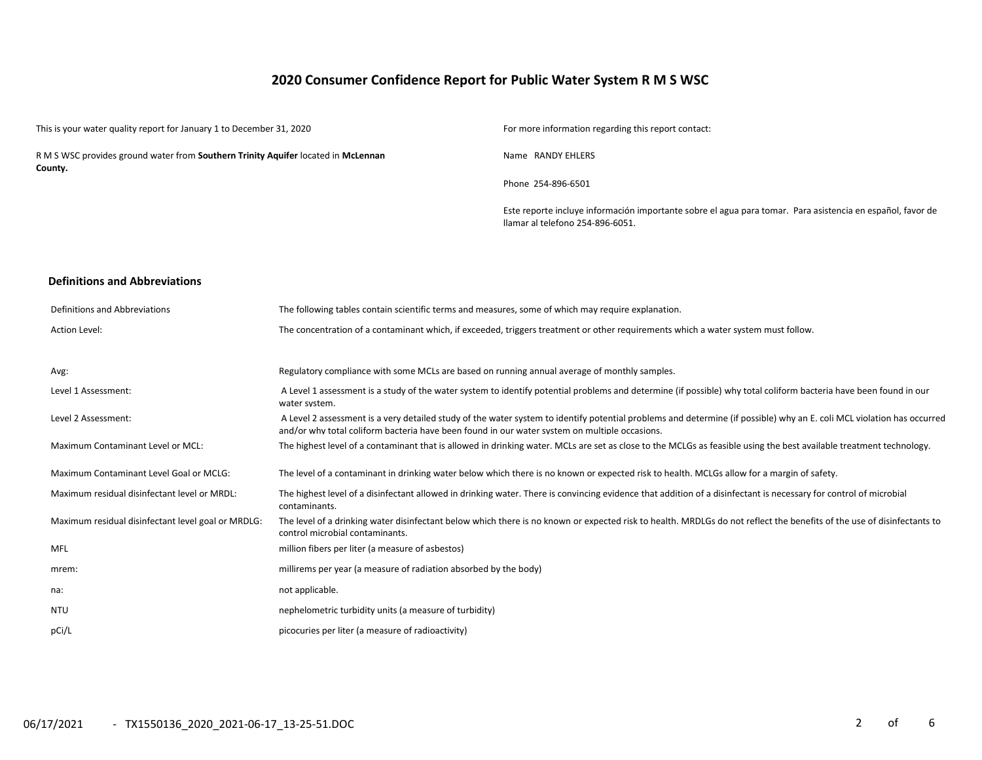# **2020 Consumer Confidence Report for Public Water System R M S WSC**

| This is your water quality report for January 1 to December 31, 2020                         | For more information regarding this report contact:                                                                                            |
|----------------------------------------------------------------------------------------------|------------------------------------------------------------------------------------------------------------------------------------------------|
| R M S WSC provides ground water from Southern Trinity Aquifer located in McLennan<br>County. | Name RANDY EHLERS                                                                                                                              |
|                                                                                              | Phone 254-896-6501                                                                                                                             |
|                                                                                              | Este reporte incluye información importante sobre el agua para tomar. Para asistencia en español, favor de<br>Ilamar al telefono 254-896-6051. |
|                                                                                              |                                                                                                                                                |

### **Definitions and Abbreviations**

| Definitions and Abbreviations                      | The following tables contain scientific terms and measures, some of which may require explanation.                                                                                                                                                                      |
|----------------------------------------------------|-------------------------------------------------------------------------------------------------------------------------------------------------------------------------------------------------------------------------------------------------------------------------|
| Action Level:                                      | The concentration of a contaminant which, if exceeded, triggers treatment or other requirements which a water system must follow.                                                                                                                                       |
|                                                    |                                                                                                                                                                                                                                                                         |
| Avg:                                               | Regulatory compliance with some MCLs are based on running annual average of monthly samples.                                                                                                                                                                            |
| Level 1 Assessment:                                | A Level 1 assessment is a study of the water system to identify potential problems and determine (if possible) why total coliform bacteria have been found in our<br>water system.                                                                                      |
| Level 2 Assessment:                                | A Level 2 assessment is a very detailed study of the water system to identify potential problems and determine (if possible) why an E. coli MCL violation has occurred<br>and/or why total coliform bacteria have been found in our water system on multiple occasions. |
| Maximum Contaminant Level or MCL:                  | The highest level of a contaminant that is allowed in drinking water. MCLs are set as close to the MCLGs as feasible using the best available treatment technology.                                                                                                     |
| Maximum Contaminant Level Goal or MCLG:            | The level of a contaminant in drinking water below which there is no known or expected risk to health. MCLGs allow for a margin of safety.                                                                                                                              |
| Maximum residual disinfectant level or MRDL:       | The highest level of a disinfectant allowed in drinking water. There is convincing evidence that addition of a disinfectant is necessary for control of microbial<br>contaminants.                                                                                      |
| Maximum residual disinfectant level goal or MRDLG: | The level of a drinking water disinfectant below which there is no known or expected risk to health. MRDLGs do not reflect the benefits of the use of disinfectants to<br>control microbial contaminants.                                                               |
| MFL                                                | million fibers per liter (a measure of asbestos)                                                                                                                                                                                                                        |
| mrem:                                              | millirems per year (a measure of radiation absorbed by the body)                                                                                                                                                                                                        |
| na:                                                | not applicable.                                                                                                                                                                                                                                                         |
| <b>NTU</b>                                         | nephelometric turbidity units (a measure of turbidity)                                                                                                                                                                                                                  |
| pCi/L                                              | picocuries per liter (a measure of radioactivity)                                                                                                                                                                                                                       |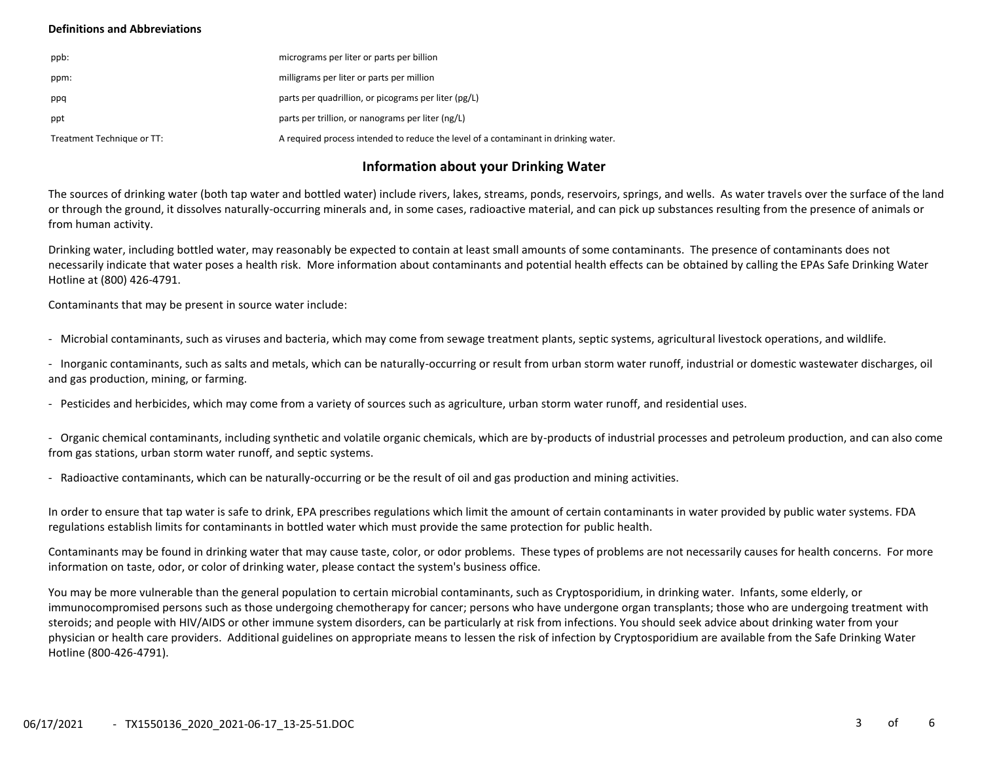### **Definitions and Abbreviations**

| ppb:                       | micrograms per liter or parts per billion                                           |
|----------------------------|-------------------------------------------------------------------------------------|
| ppm:                       | milligrams per liter or parts per million                                           |
| ppq                        | parts per quadrillion, or picograms per liter (pg/L)                                |
| ppt                        | parts per trillion, or nanograms per liter (ng/L)                                   |
| Treatment Technique or TT: | A required process intended to reduce the level of a contaminant in drinking water. |

## **Information about your Drinking Water**

The sources of drinking water (both tap water and bottled water) include rivers, lakes, streams, ponds, reservoirs, springs, and wells. As water travels over the surface of the land or through the ground, it dissolves naturally-occurring minerals and, in some cases, radioactive material, and can pick up substances resulting from the presence of animals or from human activity.

Drinking water, including bottled water, may reasonably be expected to contain at least small amounts of some contaminants. The presence of contaminants does not necessarily indicate that water poses a health risk. More information about contaminants and potential health effects can be obtained by calling the EPAs Safe Drinking Water Hotline at (800) 426-4791.

Contaminants that may be present in source water include:

- Microbial contaminants, such as viruses and bacteria, which may come from sewage treatment plants, septic systems, agricultural livestock operations, and wildlife.

- Inorganic contaminants, such as salts and metals, which can be naturally-occurring or result from urban storm water runoff, industrial or domestic wastewater discharges, oil and gas production, mining, or farming.

- Pesticides and herbicides, which may come from a variety of sources such as agriculture, urban storm water runoff, and residential uses.

- Organic chemical contaminants, including synthetic and volatile organic chemicals, which are by-products of industrial processes and petroleum production, and can also come from gas stations, urban storm water runoff, and septic systems.

- Radioactive contaminants, which can be naturally-occurring or be the result of oil and gas production and mining activities.

In order to ensure that tap water is safe to drink, EPA prescribes regulations which limit the amount of certain contaminants in water provided by public water systems. FDA regulations establish limits for contaminants in bottled water which must provide the same protection for public health.

Contaminants may be found in drinking water that may cause taste, color, or odor problems. These types of problems are not necessarily causes for health concerns. For more information on taste, odor, or color of drinking water, please contact the system's business office.

You may be more vulnerable than the general population to certain microbial contaminants, such as Cryptosporidium, in drinking water. Infants, some elderly, or immunocompromised persons such as those undergoing chemotherapy for cancer; persons who have undergone organ transplants; those who are undergoing treatment with steroids; and people with HIV/AIDS or other immune system disorders, can be particularly at risk from infections. You should seek advice about drinking water from your physician or health care providers. Additional guidelines on appropriate means to lessen the risk of infection by Cryptosporidium are available from the Safe Drinking Water Hotline (800-426-4791).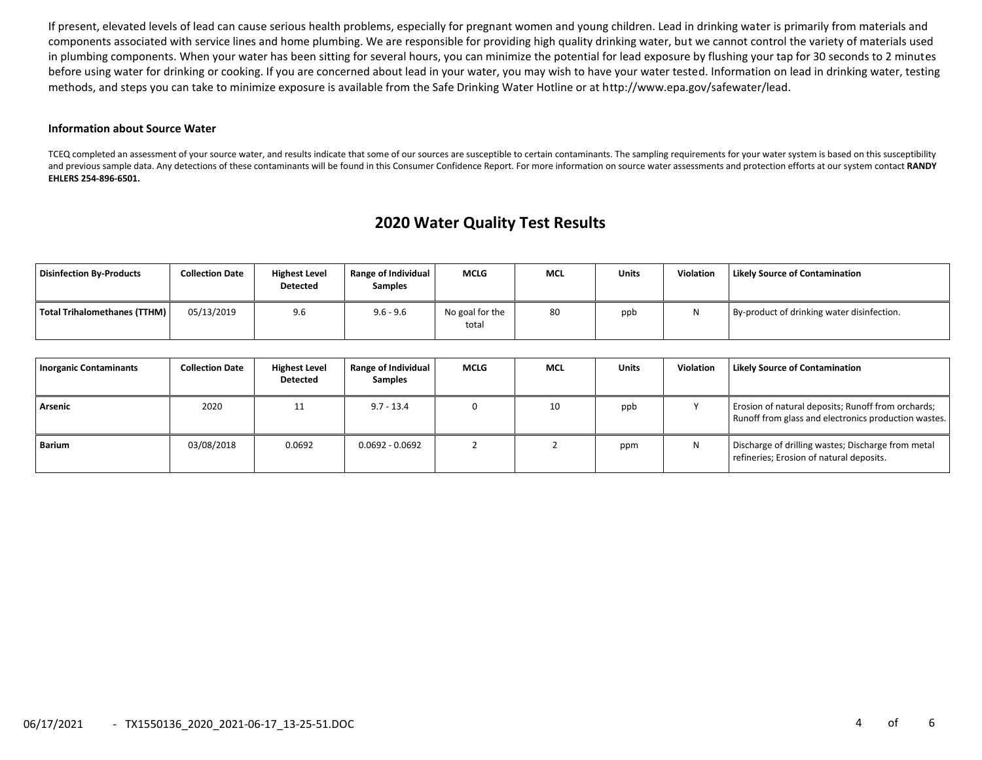If present, elevated levels of lead can cause serious health problems, especially for pregnant women and young children. Lead in drinking water is primarily from materials and components associated with service lines and home plumbing. We are responsible for providing high quality drinking water, but we cannot control the variety of materials used in plumbing components. When your water has been sitting for several hours, you can minimize the potential for lead exposure by flushing your tap for 30 seconds to 2 minutes before using water for drinking or cooking. If you are concerned about lead in your water, you may wish to have your water tested. Information on lead in drinking water, testing methods, and steps you can take to minimize exposure is available from the Safe Drinking Water Hotline or at http://www.epa.gov/safewater/lead.

#### **Information about Source Water**

TCEQ completed an assessment of your source water, and results indicate that some of our sources are susceptible to certain contaminants. The sampling requirements for your water system is based on this susceptibility and previous sample data. Any detections of these contaminants will be found in this Consumer Confidence Report. For more information on source water assessments and protection efforts at our system contact **RANDY EHLERS 254-896-6501.**

# **2020 Water Quality Test Results**

| <b>Disinfection By-Products</b> | <b>Collection Date</b> | <b>Highest Level</b><br><b>Detected</b> | <b>Range of Individual</b><br><b>Samples</b> | <b>MCLG</b>              | <b>MCL</b> | Units | Violation | <b>Likely Source of Contamination</b>      |
|---------------------------------|------------------------|-----------------------------------------|----------------------------------------------|--------------------------|------------|-------|-----------|--------------------------------------------|
| Total Trihalomethanes (TTHM)    | 05/13/2019             | 9.6                                     | $9.6 - 9.6$                                  | No goal for the<br>total | 80         | ppb   |           | By-product of drinking water disinfection. |

| Inorganic Contaminants | <b>Collection Date</b> | <b>Highest Level</b><br>Detected | Range of Individual<br><b>Samples</b> | <b>MCLG</b> | <b>MCL</b> | <b>Units</b> | <b>Violation</b> | <b>Likely Source of Contamination</b>                                                                      |
|------------------------|------------------------|----------------------------------|---------------------------------------|-------------|------------|--------------|------------------|------------------------------------------------------------------------------------------------------------|
| Arsenic                | 2020                   | 11                               | $9.7 - 13.4$                          |             | 10         | ppb          |                  | Erosion of natural deposits; Runoff from orchards;<br>Runoff from glass and electronics production wastes. |
| Barium                 | 03/08/2018             | 0.0692                           | $0.0692 - 0.0692$                     |             |            | ppm          | N                | Discharge of drilling wastes; Discharge from metal<br>refineries; Erosion of natural deposits.             |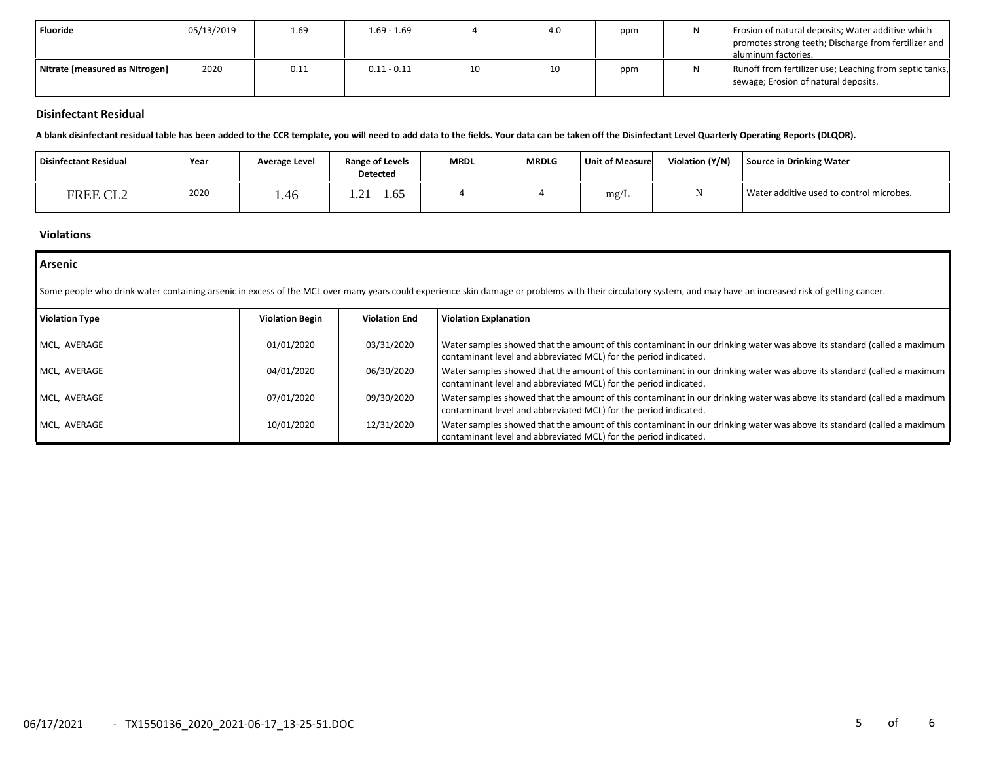| <b>Fluoride</b>                | 05/13/2019 | 1.69 | $1.69 - 1.69$ |    | 4.0 | ppm | Erosion of natural deposits; Water additive which<br>promotes strong teeth; Discharge from fertilizer and<br>aluminum factories. |
|--------------------------------|------------|------|---------------|----|-----|-----|----------------------------------------------------------------------------------------------------------------------------------|
| Nitrate [measured as Nitrogen] | 2020       | 0.11 | $0.11 - 0.11$ | 10 | 10  | ppm | Runoff from fertilizer use; Leaching from septic tanks,<br>sewage; Erosion of natural deposits.                                  |

## **Disinfectant Residual**

**A blank disinfectant residual table has been added to the CCR template, you will need to add data to the fields. Your data can be taken off the Disinfectant Level Quarterly Operating Reports (DLQOR).**

| Disinfectant Residual | Year | Average Level | <b>Range of Levels</b><br><b>Detected</b>       | <b>MRDL</b> | <b>MRDLG</b> | <b>Unit of Measure</b> | Violation (Y/N) | <b>Source in Drinking Water</b>          |
|-----------------------|------|---------------|-------------------------------------------------|-------------|--------------|------------------------|-----------------|------------------------------------------|
| FREE CL2              | 2020 | . 46          | $\bigcap$ 1<br>1.65<br>$\overline{\phantom{0}}$ |             |              | mg/L                   |                 | Water additive used to control microbes. |

## **Violations**

| <b>Arsenic</b>        |                        |                      |                                                                                                                                                                                                               |  |  |  |  |  |  |
|-----------------------|------------------------|----------------------|---------------------------------------------------------------------------------------------------------------------------------------------------------------------------------------------------------------|--|--|--|--|--|--|
|                       |                        |                      | Some people who drink water containing arsenic in excess of the MCL over many years could experience skin damage or problems with their circulatory system, and may have an increased risk of getting cancer. |  |  |  |  |  |  |
| <b>Violation Type</b> | <b>Violation Begin</b> | <b>Violation End</b> | <b>Violation Explanation</b>                                                                                                                                                                                  |  |  |  |  |  |  |
| MCL, AVERAGE          | 01/01/2020             | 03/31/2020           | Water samples showed that the amount of this contaminant in our drinking water was above its standard (called a maximum<br>contaminant level and abbreviated MCL) for the period indicated.                   |  |  |  |  |  |  |
| MCL, AVERAGE          | 04/01/2020             | 06/30/2020           | Water samples showed that the amount of this contaminant in our drinking water was above its standard (called a maximum<br>contaminant level and abbreviated MCL) for the period indicated.                   |  |  |  |  |  |  |
| MCL, AVERAGE          | 07/01/2020             | 09/30/2020           | Water samples showed that the amount of this contaminant in our drinking water was above its standard (called a maximum<br>contaminant level and abbreviated MCL) for the period indicated.                   |  |  |  |  |  |  |
| MCL, AVERAGE          | 10/01/2020             | 12/31/2020           | Water samples showed that the amount of this contaminant in our drinking water was above its standard (called a maximum<br>contaminant level and abbreviated MCL) for the period indicated.                   |  |  |  |  |  |  |